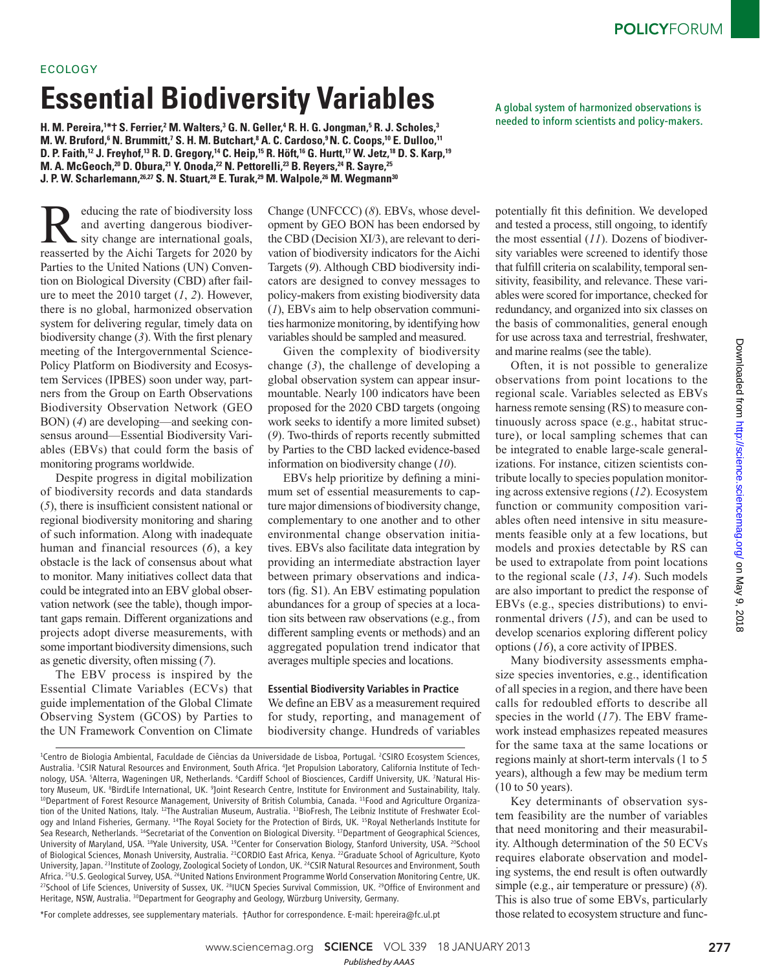# ECOLOGY

# **Essential Biodiversity Variables**

**H**. M. Pereira,<sup>1\*</sup>† S. Ferrier,<sup>2</sup> M. Walters,<sup>3</sup> G. N. Geller,<sup>4</sup> R. H. G. Jongman,<sup>5</sup> R. J. Scholes,<sup>3</sup> **M. W. Bruford,** $^6$  **N. Brummitt,** $^7$  **S. H. M. Butchart,** $^8$  **A. C. Cardoso,** $^9$  **N. C. Coops,** $^{10}$  **E. Dulloo,** $^{11}$ **D. P. Faith, <sup>12</sup> J. Freyhof, <sup>13</sup> R. D. Gregory, <sup>14</sup> C. Heip, <sup>15</sup> R. Höft, <sup>16</sup> G. Hurtt, <sup>17</sup> W. Jetz, <sup>18</sup> D. S. Karp, <sup>19</sup> M. A. McGeoch, <sup>20</sup> D. Obura, <sup>21</sup> Y. Onoda, <sup>22</sup> N. Pettorelli, <sup>23</sup> B. Reyers, <sup>24</sup> R. Sayre, <sup>25</sup> J. P. W. Scharlemann, 26 ,27 S. N. Stuart,<sup>28</sup> E. Turak, <sup>29</sup> M. Walpole,<sup>26</sup> M. Wegmann <sup>30</sup>**

# Reducing the rate of biodiversity loss<br>and averting dangerous biodiver-<br>sity change are international goals,<br>reasserted by the Aichi Targets for 2020 by and averting dangerous biodiverreasserted by the Aichi Targets for 2020 by Parties to the United Nations (UN) Convention on Biological Diversity (CBD) after failure to meet the  $2010$  target  $(1, 2)$ . However, there is no global, harmonized observation system for delivering regular, timely data on biodiversity change  $(3)$ . With the first plenary meeting of the Intergovernmental Science-Policy Platform on Biodiversity and Ecosystem Services (IPBES) soon under way, partners from the Group on Earth Observations Biodiversity Observation Network (GEO BON) (4) are developing—and seeking consensus around—Essential Biodiversity Variables (EBVs) that could form the basis of monitoring programs worldwide.

Despite progress in digital mobilization of biodiversity records and data standards  $(5)$ , there is insufficient consistent national or regional biodiversity monitoring and sharing of such information. Along with inadequate human and financial resources  $(6)$ , a key obstacle is the lack of consensus about what to monitor. Many initiatives collect data that could be integrated into an EBV global observation network (see the table), though important gaps remain. Different organizations and projects adopt diverse measurements, with some important biodiversity dimensions, such as genetic diversity, often missing ( *7*).

The EBV process is inspired by the Essential Climate Variables (ECVs) that guide implementation of the Global Climate Observing System (GCOS) by Parties to the UN Framework Convention on Climate Change (UNFCCC) (8). EBVs, whose development by GEO BON has been endorsed by the CBD (Decision XI/3), are relevant to derivation of biodiversity indicators for the Aichi Targets (9). Although CBD biodiversity indicators are designed to convey messages to policy-makers from existing biodiversity data  $(1)$ , EBVs aim to help observation communities harmonize monitoring, by identifying how variables should be sampled and measured.

Given the complexity of biodiversity change  $(3)$ , the challenge of developing a global observation system can appear insurmountable. Nearly 100 indicators have been proposed for the 2020 CBD targets (ongoing work seeks to identify a more limited subset) ( *9*). Two-thirds of reports recently submitted by Parties to the CBD lacked evidence-based information on biodiversity change (10).

EBVs help prioritize by defining a minimum set of essential measurements to capture major dimensions of biodiversity change, complementary to one another and to other environmental change observation initiatives. EBVs also facilitate data integration by providing an intermediate abstraction layer between primary observations and indicators (fig. S1). An EBV estimating population abundances for a group of species at a location sits between raw observations (e.g., from different sampling events or methods) and an aggregated population trend indicator that averages multiple species and locations.

#### Essential Biodiversity Variables in Practice

We define an EBV as a measurement required for study, reporting, and management of biodiversity change. Hundreds of variables

\*For complete addresses, see supplementary materials. †Author for correspondence. E-mail: hpereira@fc.ul.pt

A global system of harmonized observations is needed to inform scientists and policy-makers.

potentially fit this definition. We developed and tested a process, still ongoing, to identify the most essential (11). Dozens of biodiversity variables were screened to identify those that fulfill criteria on scalability, temporal sensitivity, feasibility, and relevance. These variables were scored for importance, checked for redundancy, and organized into six classes on the basis of commonalities, general enough for use across taxa and terrestrial, freshwater, and marine realms (see the table).

Often, it is not possible to generalize observations from point locations to the regional scale. Variables selected as EBVs harness remote sensing (RS) to measure continuously across space (e.g., habitat structure), or local sampling schemes that can be integrated to enable large-scale generalizations. For instance, citizen scientists contribute locally to species population monitoring across extensive regions ( *12*). Ecosystem function or community composition variables often need intensive in situ measurements feasible only at a few locations, but models and proxies detectable by RS can be used to extrapolate from point locations to the regional scale (13, 14). Such models are also important to predict the response of EBVs (e.g., species distributions) to environmental drivers (15), and can be used to develop scenarios exploring different policy options ( *16*), a core activity of IPBES.

Many biodiversity assessments emphasize species inventories, e.g., identification of all species in a region, and there have been calls for redoubled efforts to describe all species in the world (17). The EBV framework instead emphasizes repeated measures for the same taxa at the same locations or regions mainly at short-term intervals (1 to 5 years), although a few may be medium term (10 to 50 years).

Key determinants of observation system feasibility are the number of variables that need monitoring and their measurability. Although determination of the 50 ECVs requires elaborate observation and modeling systems, the end result is often outwardly simple (e.g., air temperature or pressure) (8). This is also true of some EBVs, particularly those related to ecosystem structure and func-

<sup>&</sup>lt;sup>1</sup>Centro de Biologia Ambiental, Faculdade de Ciências da Universidade de Lisboa, Portugal. <sup>2</sup>CSIRO Ecosystem Sciences, Australia. <sup>3</sup>CSIR Natural Resources and Environment, South Africa. <sup>4</sup> Jet Propulsion Laboratory, California Institute of Technology, USA. <sup>5</sup>Alterra, Wageningen UR, Netherlands. <sup>6</sup>Cardiff School of Biosciences, Cardiff University, UK. <sup>7</sup>Natural History Museum, UK. <sup>8</sup>BirdLife International, UK. <sup>9</sup>Joint Research Centre, Institute for Environment and Sustainability, Italy. <sup>10</sup>Department of Forest Resource Management, University of British Columbia, Canada. <sup>11</sup>Food and Agriculture Organization of the United Nations, Italy. 12The Australian Museum, Australia. 13BioFresh, The Leibniz Institute of Freshwater Ecology and Inland Fisheries, Germany. <sup>14</sup>The Royal Society for the Protection of Birds, UK. <sup>15</sup>Royal Netherlands Institute for Sea Research, Netherlands. <sup>16</sup>Secretariat of the Convention on Biological Diversity. <sup>17</sup>Department of Geographical Sciences, University of Maryland, USA. <sup>18</sup>Yale University, USA. <sup>19</sup>Center for Conservation Biology, Stanford University, USA. <sup>20</sup>School of Biological Sciences, Monash University, Australia. <sup>21</sup>CORDIO East Africa, Kenya. <sup>22</sup>Graduate School of Agriculture, Kyoto University, Japan. <sup>23</sup>Institute of Zoology, Zoological Society of London, UK. <sup>24</sup>CSIR Natural Resources and Environment, South Africa. <sup>25</sup>U.S. Geological Survey, USA. <sup>26</sup>United Nations Environment Programme World Conservation Monitoring Centre, UK. <sup>27</sup>School of Life Sciences, University of Sussex, UK. <sup>28</sup>IUCN Species Survival Commission, UK. <sup>29</sup>Office of Environment and Heritage, NSW, Australia. <sup>30</sup>Department for Geography and Geology, Würzburg University, Germany.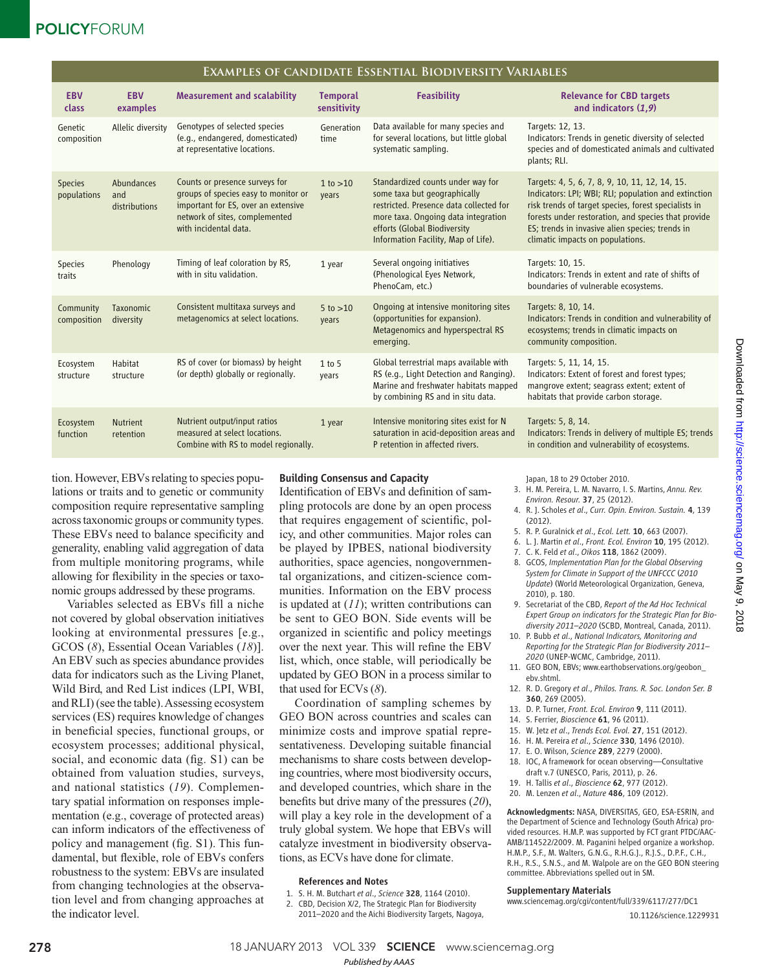# **POLICYFORUM**

| EXAMPLES OF CANDIDATE ESSENTIAL BIODIVERSITY VARIABLES |                                    |                                                                                                                                                                          |                                |                                                                                                                                                                                                                            |                                                                                                                                                                                                                                                                                                              |  |
|--------------------------------------------------------|------------------------------------|--------------------------------------------------------------------------------------------------------------------------------------------------------------------------|--------------------------------|----------------------------------------------------------------------------------------------------------------------------------------------------------------------------------------------------------------------------|--------------------------------------------------------------------------------------------------------------------------------------------------------------------------------------------------------------------------------------------------------------------------------------------------------------|--|
| <b>EBV</b><br>class                                    | <b>EBV</b><br>examples             | <b>Measurement and scalability</b>                                                                                                                                       | <b>Temporal</b><br>sensitivity | <b>Feasibility</b>                                                                                                                                                                                                         | <b>Relevance for CBD targets</b><br>and indicators $(1,9)$                                                                                                                                                                                                                                                   |  |
| Genetic<br>composition                                 | Allelic diversity                  | Genotypes of selected species<br>(e.g., endangered, domesticated)<br>at representative locations.                                                                        | Generation<br>time             | Data available for many species and<br>for several locations, but little global<br>systematic sampling.                                                                                                                    | Targets: 12, 13.<br>Indicators: Trends in genetic diversity of selected<br>species and of domesticated animals and cultivated<br>plants; RLI.                                                                                                                                                                |  |
| <b>Species</b><br>populations                          | Abundances<br>and<br>distributions | Counts or presence surveys for<br>groups of species easy to monitor or<br>important for ES, over an extensive<br>network of sites, complemented<br>with incidental data. | 1 to > 10<br>years             | Standardized counts under way for<br>some taxa but geographically<br>restricted. Presence data collected for<br>more taxa. Ongoing data integration<br>efforts (Global Biodiversity<br>Information Facility, Map of Life). | Targets: 4, 5, 6, 7, 8, 9, 10, 11, 12, 14, 15.<br>Indicators: LPI; WBI; RLI; population and extinction<br>risk trends of target species, forest specialists in<br>forests under restoration, and species that provide<br>ES; trends in invasive alien species; trends in<br>climatic impacts on populations. |  |
| <b>Species</b><br>traits                               | Phenology                          | Timing of leaf coloration by RS,<br>with in situ validation.                                                                                                             | 1 year                         | Several ongoing initiatives<br>(Phenological Eyes Network,<br>PhenoCam, etc.)                                                                                                                                              | Targets: 10, 15.<br>Indicators: Trends in extent and rate of shifts of<br>boundaries of vulnerable ecosystems.                                                                                                                                                                                               |  |
| Community<br>composition                               | Taxonomic<br>diversity             | Consistent multitaxa surveys and<br>metagenomics at select locations.                                                                                                    | $5 \text{ to } > 10$<br>years  | Ongoing at intensive monitoring sites<br>(opportunities for expansion).<br>Metagenomics and hyperspectral RS<br>emerging.                                                                                                  | Targets: 8, 10, 14.<br>Indicators: Trends in condition and vulnerability of<br>ecosystems; trends in climatic impacts on<br>community composition.                                                                                                                                                           |  |
| Ecosystem<br>structure                                 | Habitat<br>structure               | RS of cover (or biomass) by height<br>(or depth) globally or regionally.                                                                                                 | 1 to 5<br>years                | Global terrestrial maps available with<br>RS (e.g., Light Detection and Ranging).<br>Marine and freshwater habitats mapped<br>by combining RS and in situ data.                                                            | Targets: 5, 11, 14, 15.<br>Indicators: Extent of forest and forest types;<br>mangrove extent; seagrass extent; extent of<br>habitats that provide carbon storage.                                                                                                                                            |  |
| Ecosystem<br>function                                  | <b>Nutrient</b><br>retention       | Nutrient output/input ratios<br>measured at select locations.<br>Combine with RS to model regionally.                                                                    | 1 year                         | Intensive monitoring sites exist for N<br>saturation in acid-deposition areas and<br>P retention in affected rivers.                                                                                                       | Targets: 5, 8, 14.<br>Indicators: Trends in delivery of multiple ES; trends<br>in condition and vulnerability of ecosystems.                                                                                                                                                                                 |  |

tion. However, EBVs relating to species populations or traits and to genetic or community composition require representative sampling across taxonomic groups or community types. These EBVs need to balance specificity and generality, enabling valid aggregation of data from multiple monitoring programs, while allowing for flexibility in the species or taxonomic groups addressed by these programs.

Variables selected as EBVs fill a niche not covered by global observation initiatives looking at environmental pressures [e.g., GCOS (8), Essential Ocean Variables (18)]. An EBV such as species abundance provides data for indicators such as the Living Planet, Wild Bird, and Red List indices (LPI, WBI, and RLI) (see the table). Assessing ecosystem services (ES) requires knowledge of changes in beneficial species, functional groups, or ecosystem processes; additional physical, social, and economic data (fig. S1) can be obtained from valuation studies, surveys, and national statistics (19). Complementary spatial information on responses implementation (e.g., coverage of protected areas) can inform indicators of the effectiveness of policy and management (fig. S1). This fundamental, but flexible, role of EBVs confers robustness to the system: EBVs are insulated from changing technologies at the observation level and from changing approaches at the indicator level.

## Building Consensus and Capacity

Identification of EBVs and definition of sampling protocols are done by an open process that requires engagement of scientific, policy, and other communities. Major roles can be played by IPBES, national biodiversity authorities, space agencies, nongovernmental organizations, and citizen-science communities. Information on the EBV process is updated at  $(11)$ ; written contributions can be sent to GEO BON. Side events will be organized in scientific and policy meetings over the next year. This will refine the EBV list, which, once stable, will periodically be updated by GEO BON in a process similar to that used for  $ECVs$  ( $8$ ).

Coordination of sampling schemes by GEO BON across countries and scales can minimize costs and improve spatial representativeness. Developing suitable financial mechanisms to share costs between developing countries, where most biodiversity occurs, and developed countries, which share in the benefits but drive many of the pressures (20), will play a key role in the development of a truly global system. We hope that EBVs will catalyze investment in biodiversity observations, as ECVs have done for climate.

#### References and Notes

- 1. S. H. M. Butchart *et al*., *Science* 328, 1164 (2010).
- 2. CBD, Decision X/2, The Strategic Plan for Biodiversity 2011–2020 and the Aichi Biodiversity Targets, Nagoya,

Japan, 18 to 29 October 2010.

- 3. H. M. Pereira, L. M. Navarro, I. S. Martins, *Annu. Rev. Environ. Resour.* 37, 25 (2012).
- 4. R. J. Scholes *et al*., *Curr. Opin. Environ. Sustain.* 4, 139 (2012).
- 5. R. P. Guralnick *et al*., *Ecol. Lett.* 10, 663 (2007).
- 6. L. J. Martin *et al*., *Front. Ecol. Environ* 10, 195 (2012).
- 7. C. K. Feld *et al*., *Oikos* 118, 1862 (2009). 8. GCOS, *Implementation Plan for the Global Observing System for Climate in Support of the UNFCCC* (*2010 Update*) (World Meteorological Organization, Geneva, 2010), p. 180.
- 9. Secretariat of the CBD, *Report of the Ad Hoc Technical Expert Group on indicators for the Strategic Plan for Biodiversity 2011–2020* (SCBD, Montreal, Canada, 2011).
- 10. P. Bubb *et al*., *National Indicators, Monitoring and Reporting for the Strategic Plan for Biodiversity 2011– 2020* (UNEP-WCMC, Cambridge, 2011).
- 11. GEO BON, EBVs; www.earthobservations.org/geobon\_ ebv.shtml.
- 12. R. D. Gregory *et al*., *Philos. Trans. R. Soc. London Ser. B*  360, 269 (2005).
- 13. D. P. Turner, *Front. Ecol. Environ* 9, 111 (2011).
- 14. S. Ferrier, *Bioscience* 61, 96 (2011).
- 15. W. Jetz *et al*., *Trends Ecol. Evol.* 27, 151 (2012).
- 16. H. M. Pereira *et al*., *Science* 330, 1496 (2010).
- 17. E. O. Wilson, *Science* 289, 2279 (2000).
- 18. IOC, A framework for ocean observing—Consultative draft v.7 (UNESCO, Paris, 2011), p. 26.
- 19. H. Tallis *et al*., *Bioscience* 62, 977 (2012).
- 20. M. Lenzen *et al*., *Nature* 486, 109 (2012).

Acknowledgments: NASA, DIVERSITAS, GEO, ESA-ESRIN, and the Department of Science and Technology (South Africa) provided resources. H.M.P. was supported by FCT grant PTDC/AAC-AMB/114522/2009. M. Paganini helped organize a workshop. H.M.P., S.F., M. Walters, G.N.G., R.H.G.J., R.J.S., D.P.F., C.H., R.H., R.S., S.N.S., and M. Walpole are on the GEO BON steering committee. Abbreviations spelled out in SM.

#### Supplementary Materials

10.1126/science.1229931 www.sciencemag.org/cgi/content/full/339/6117/277/DC1

278 **18 JANUARY 2013** VOL 339 **SCIENCE** www.sciencemag.org

#### *Published byAAAS*